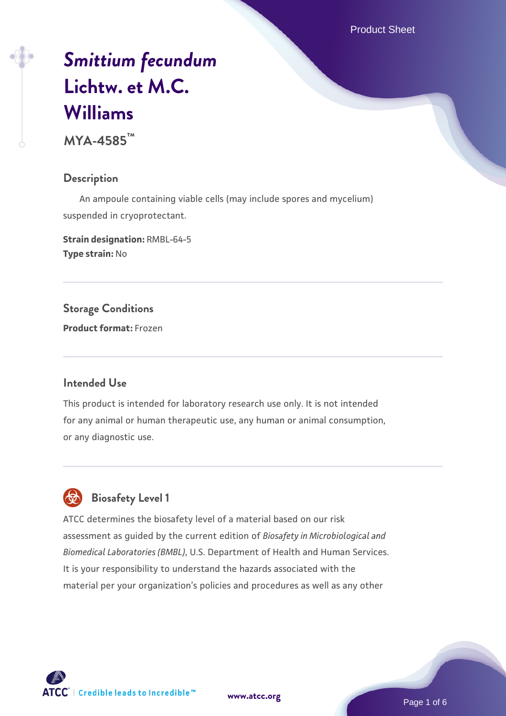Product Sheet

# *[Smittium fecundum](https://www.atcc.org/products/mya-4585)* **[Lichtw. et M.C.](https://www.atcc.org/products/mya-4585) [Williams](https://www.atcc.org/products/mya-4585)**

**MYA-4585™**

#### **Description**

 An ampoule containing viable cells (may include spores and mycelium) suspended in cryoprotectant.

**Strain designation:** RMBL-64-5 **Type strain:** No

**Storage Conditions**

**Product format:** Frozen

#### **Intended Use**

This product is intended for laboratory research use only. It is not intended for any animal or human therapeutic use, any human or animal consumption, or any diagnostic use.

# **Biosafety Level 1**

ATCC determines the biosafety level of a material based on our risk assessment as guided by the current edition of *Biosafety in Microbiological and Biomedical Laboratories (BMBL)*, U.S. Department of Health and Human Services. It is your responsibility to understand the hazards associated with the material per your organization's policies and procedures as well as any other



**[www.atcc.org](http://www.atcc.org)**

Page 1 of 6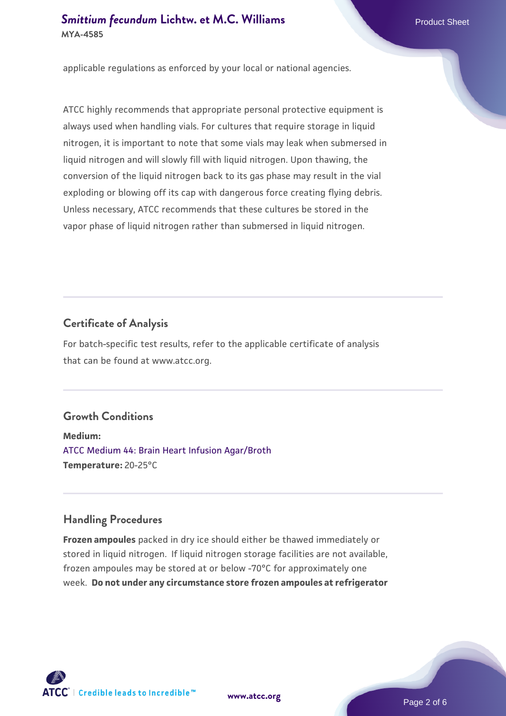applicable regulations as enforced by your local or national agencies.

ATCC highly recommends that appropriate personal protective equipment is always used when handling vials. For cultures that require storage in liquid nitrogen, it is important to note that some vials may leak when submersed in liquid nitrogen and will slowly fill with liquid nitrogen. Upon thawing, the conversion of the liquid nitrogen back to its gas phase may result in the vial exploding or blowing off its cap with dangerous force creating flying debris. Unless necessary, ATCC recommends that these cultures be stored in the vapor phase of liquid nitrogen rather than submersed in liquid nitrogen.

#### **Certificate of Analysis**

For batch-specific test results, refer to the applicable certificate of analysis that can be found at www.atcc.org.

# **Growth Conditions**

**Medium:**  [ATCC Medium 44: Brain Heart Infusion Agar/Broth](https://www.atcc.org/-/media/product-assets/documents/microbial-media-formulations/4/4/atcc-medium-44.pdf?rev=ce06ac4e5438493b896cd46c7d875629) **Temperature:** 20-25°C

#### **Handling Procedures**

**Frozen ampoules** packed in dry ice should either be thawed immediately or stored in liquid nitrogen. If liquid nitrogen storage facilities are not available, frozen ampoules may be stored at or below -70°C for approximately one week. **Do not under any circumstance store frozen ampoules at refrigerator**



**[www.atcc.org](http://www.atcc.org)**

Page 2 of 6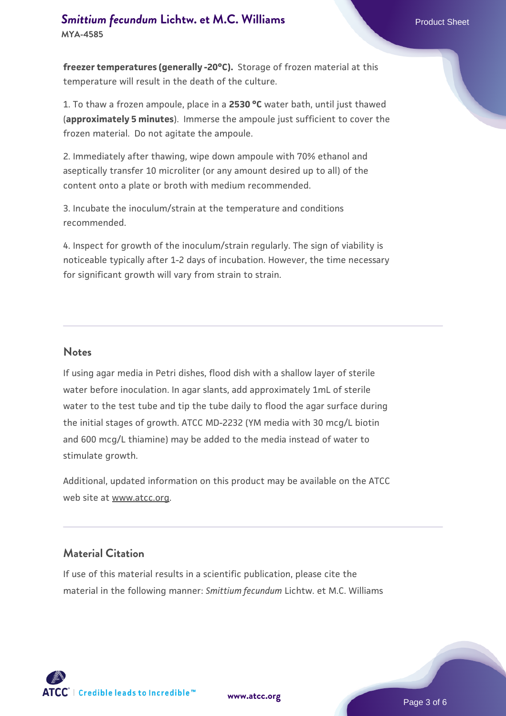**freezer temperatures (generally -20°C).** Storage of frozen material at this temperature will result in the death of the culture.

1. To thaw a frozen ampoule, place in a **2530 °C** water bath, until just thawed (**approximately 5 minutes**). Immerse the ampoule just sufficient to cover the frozen material. Do not agitate the ampoule.

2. Immediately after thawing, wipe down ampoule with 70% ethanol and aseptically transfer 10 microliter (or any amount desired up to all) of the content onto a plate or broth with medium recommended.

3. Incubate the inoculum/strain at the temperature and conditions recommended.

4. Inspect for growth of the inoculum/strain regularly. The sign of viability is noticeable typically after 1-2 days of incubation. However, the time necessary for significant growth will vary from strain to strain.

#### **Notes**

If using agar media in Petri dishes, flood dish with a shallow layer of sterile water before inoculation. In agar slants, add approximately 1mL of sterile water to the test tube and tip the tube daily to flood the agar surface during the initial stages of growth. ATCC MD-2232 (YM media with 30 mcg/L biotin and 600 mcg/L thiamine) may be added to the media instead of water to stimulate growth.

Additional, updated information on this product may be available on the ATCC web site at www.atcc.org.

#### **Material Citation**

If use of this material results in a scientific publication, please cite the material in the following manner: *Smittium fecundum* Lichtw. et M.C. Williams

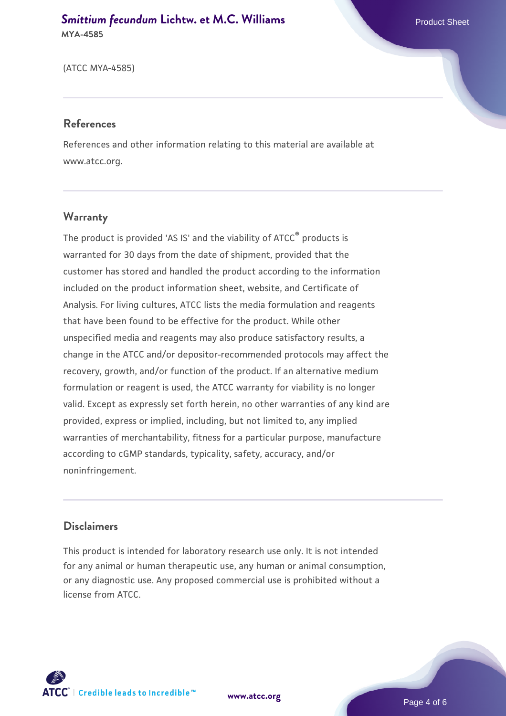(ATCC MYA-4585)

#### **References**

References and other information relating to this material are available at www.atcc.org.

# **Warranty**

The product is provided 'AS IS' and the viability of ATCC® products is warranted for 30 days from the date of shipment, provided that the customer has stored and handled the product according to the information included on the product information sheet, website, and Certificate of Analysis. For living cultures, ATCC lists the media formulation and reagents that have been found to be effective for the product. While other unspecified media and reagents may also produce satisfactory results, a change in the ATCC and/or depositor-recommended protocols may affect the recovery, growth, and/or function of the product. If an alternative medium formulation or reagent is used, the ATCC warranty for viability is no longer valid. Except as expressly set forth herein, no other warranties of any kind are provided, express or implied, including, but not limited to, any implied warranties of merchantability, fitness for a particular purpose, manufacture according to cGMP standards, typicality, safety, accuracy, and/or noninfringement.

# **Disclaimers**

This product is intended for laboratory research use only. It is not intended for any animal or human therapeutic use, any human or animal consumption, or any diagnostic use. Any proposed commercial use is prohibited without a license from ATCC.



**[www.atcc.org](http://www.atcc.org)**

Page 4 of 6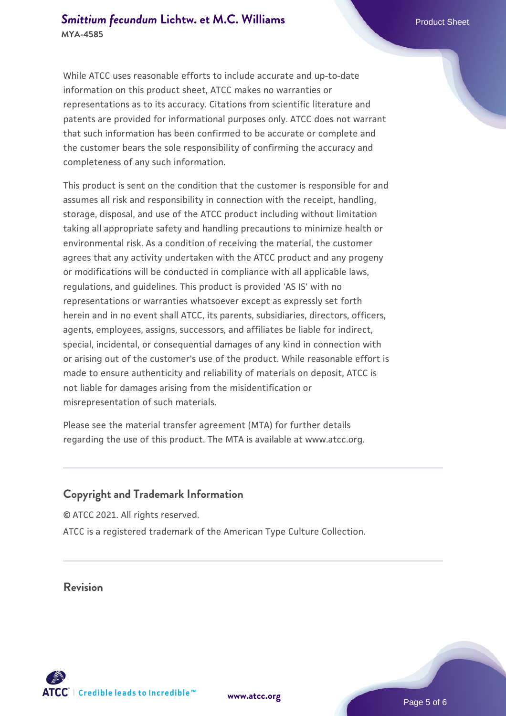While ATCC uses reasonable efforts to include accurate and up-to-date information on this product sheet, ATCC makes no warranties or representations as to its accuracy. Citations from scientific literature and patents are provided for informational purposes only. ATCC does not warrant that such information has been confirmed to be accurate or complete and the customer bears the sole responsibility of confirming the accuracy and completeness of any such information.

This product is sent on the condition that the customer is responsible for and assumes all risk and responsibility in connection with the receipt, handling, storage, disposal, and use of the ATCC product including without limitation taking all appropriate safety and handling precautions to minimize health or environmental risk. As a condition of receiving the material, the customer agrees that any activity undertaken with the ATCC product and any progeny or modifications will be conducted in compliance with all applicable laws, regulations, and guidelines. This product is provided 'AS IS' with no representations or warranties whatsoever except as expressly set forth herein and in no event shall ATCC, its parents, subsidiaries, directors, officers, agents, employees, assigns, successors, and affiliates be liable for indirect, special, incidental, or consequential damages of any kind in connection with or arising out of the customer's use of the product. While reasonable effort is made to ensure authenticity and reliability of materials on deposit, ATCC is not liable for damages arising from the misidentification or misrepresentation of such materials.

Please see the material transfer agreement (MTA) for further details regarding the use of this product. The MTA is available at www.atcc.org.

# **Copyright and Trademark Information**

© ATCC 2021. All rights reserved. ATCC is a registered trademark of the American Type Culture Collection.

# **Revision**



**[www.atcc.org](http://www.atcc.org)**

Page 5 of 6